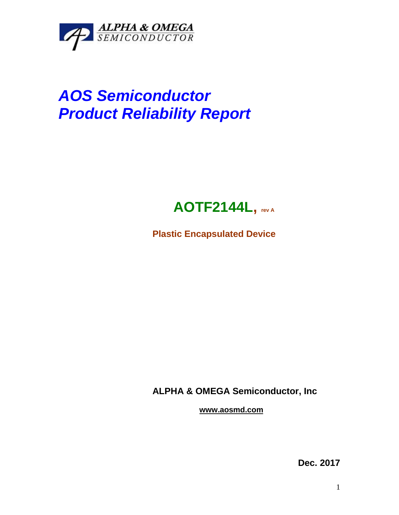

## *AOS Semiconductor Product Reliability Report*



**Plastic Encapsulated Device**

**ALPHA & OMEGA Semiconductor, Inc**

**www.aosmd.com**

**Dec. 2017**